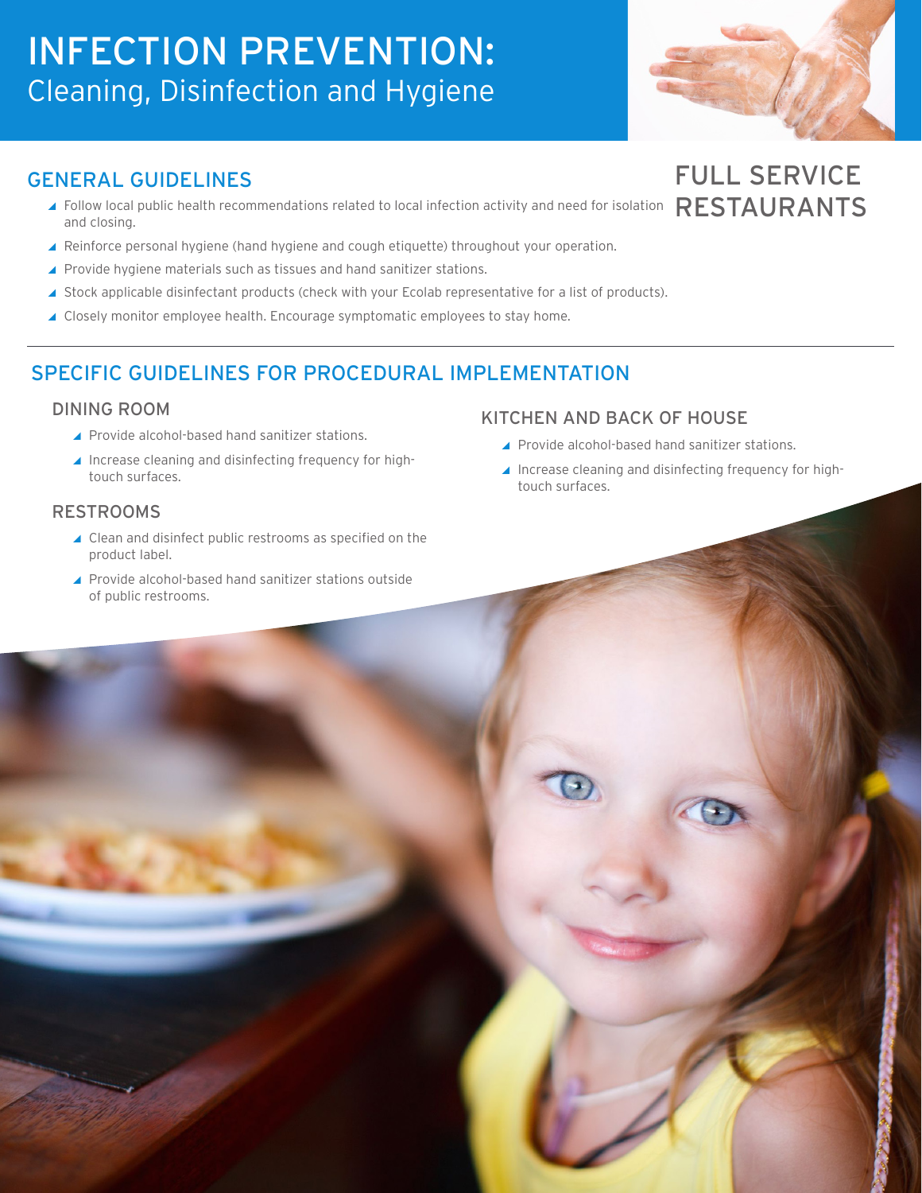# INFECTION PREVENTION: Cleaning, Disinfection and Hygiene



FULL SERVICE

RESTAURANTS

## GENERAL GUIDELINES

- ▲ Follow local public health recommendations related to local infection activity and need for isolation and closing.
- ▲ Reinforce personal hygiene (hand hygiene and cough etiquette) throughout your operation.
- ▲ Provide hygiene materials such as tissues and hand sanitizer stations.
- ▲ Stock applicable disinfectant products (check with your Ecolab representative for a list of products).
- ▲ Closely monitor employee health. Encourage symptomatic employees to stay home.

## SPECIFIC GUIDELINES FOR PROCEDURAL IMPLEMENTATION

#### DINING ROOM

- ▲ Provide alcohol-based hand sanitizer stations.
- ▲ Increase cleaning and disinfecting frequency for hightouch surfaces.

### RESTROOMS

- ▲ Clean and disinfect public restrooms as specified on the product label.
- ▲ Provide alcohol-based hand sanitizer stations outside of public restrooms.

## KITCHEN AND BACK OF HOUSE

- ▲ Provide alcohol-based hand sanitizer stations.
- Increase cleaning and disinfecting frequency for hightouch surfaces.